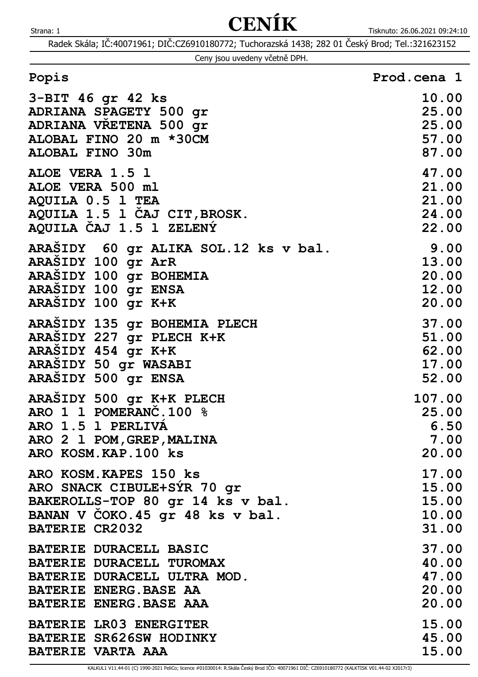Radek Skála; IČ:40071961; DIČ:CZ6910180772; Tuchorazská 1438; 282 01 Český Brod; Tel.:321623152

|  | Ceny jsou uvedeny včetně DPH. |  |
|--|-------------------------------|--|
|  |                               |  |

| 3-BIT 46 gr 42 ks                    | 10.00  |
|--------------------------------------|--------|
| ADRIANA SPAGETY 500 gr               | 25.00  |
| ADRIANA VRETENA 500 gr               | 25.00  |
| ALOBAL FINO 20 m *30CM               | 57.00  |
| <b>ALOBAL FINO 30m</b>               | 87.00  |
| ALOE VERA 1.5 1                      | 47.00  |
| ALOE VERA 500 ml                     | 21.00  |
| AQUILA 0.5 1 TEA                     | 21.00  |
| AQUILA 1.5 1 CAJ CIT, BROSK.         | 24.00  |
| AQUILA CAJ 1.5 1 ZELENÝ              | 22.00  |
| ARASIDY 60 gr ALIKA SOL.12 ks v bal. | 9.00   |
| ARASIDY 100 gr ArR                   | 13.00  |
| ARAŠIDY 100 gr BOHEMIA               | 20.00  |
| ARASIDY 100 gr ENSA                  | 12.00  |
| ARASIDY 100 gr K+K                   | 20.00  |
| ARASIDY 135 gr BOHEMIA PLECH         | 37.00  |
| ARASIDY 227 gr PLECH K+K             | 51.00  |
| ARASIDY 454 gr K+K                   | 62.00  |
| ARASIDY 50 gr WASABI                 | 17.00  |
| ARASIDY 500 gr ENSA                  | 52.00  |
| ARAŠIDY 500 gr K+K PLECH             | 107.00 |
| ARO 1 1 POMERANC.100 %               | 25.00  |
| ARO 1.5 1 PERLIVA                    | 6.50   |
| ARO 2 1 POM, GREP, MALINA            | 7.00   |
| ARO KOSM.KAP.100 ks                  | 20.00  |
| ARO KOSM. KAPES 150 ks               | 17.00  |
| ARO SNACK CIBULE+SYR 70 gr           | 15.00  |
| BAKEROLLS-TOP 80 gr 14 ks v bal.     | 15.00  |
| BANAN V COKO.45 gr 48 ks v bal.      | 10.00  |
| <b>BATERIE CR2032</b>                | 31.00  |
| <b>BATERIE DURACELL BASIC</b>        | 37.00  |
| BATERIE DURACELL TUROMAX             | 40.00  |
| BATERIE DURACELL ULTRA MOD.          | 47.00  |
| BATERIE ENERG. BASE AA               | 20.00  |
| BATERIE ENERG. BASE AAA              | 20.00  |
| <b>BATERIE LRO3 ENERGITER</b>        | 15.00  |
| BATERIE SR626SW HODINKY              | 45.00  |
| <b>BATERIE VARTA AAA</b>             | 15.00  |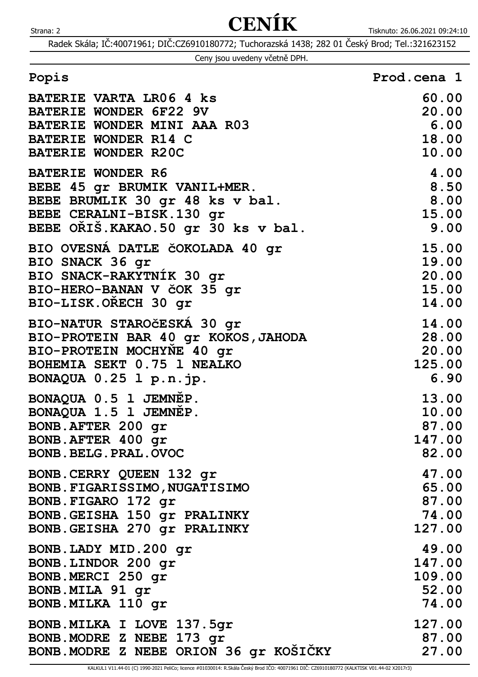Radek Skála; IČ:40071961; DIČ:CZ6910180772; Tuchorazská 1438; 282 01 Český Brod; Tel.:321623152

|  | Ceny jsou uvedeny včetně DPH. |  |
|--|-------------------------------|--|
|  |                               |  |

| <b>BATERIE VARTA LR06 4 ks</b>         | 60.00  |
|----------------------------------------|--------|
| <b>BATERIE WONDER 6F22 9V</b>          | 20.00  |
| BATERIE WONDER MINI AAA R03            | 6.00   |
| <b>BATERIE WONDER R14 C</b>            | 18.00  |
| <b>BATERIE WONDER R20C</b>             | 10.00  |
| <b>BATERIE WONDER R6</b>               | 4.00   |
| BEBE 45 gr BRUMIK VANIL+MER.           | 8.50   |
| BEBE BRUMLIK 30 gr 48 ks v bal.        | 8.00   |
| BEBE CERALNI-BISK.130 gr               | 15.00  |
| BEBE ORIŠ. KAKAO. 50 gr 30 ks v bal.   | 9.00   |
| BIO OVESNA DATLE ČOKOLADA 40 gr        | 15.00  |
| BIO SNACK 36 gr                        | 19.00  |
| BIO SNACK-RAKYTNIK 30 gr               | 20.00  |
| BIO-HERO-BANAN V čOK 35 gr             | 15.00  |
| BIO-LISK.ORECH 30 gr                   | 14.00  |
| BIO-NATUR STAROČESKÁ 30 gr             | 14.00  |
| BIO-PROTEIN BAR 40 gr KOKOS, JAHODA    | 28.00  |
| BIO-PROTEIN MOCHYNE 40 gr              | 20.00  |
| BOHEMIA SEKT 0.75 1 NEALKO             | 125.00 |
| BONAQUA 0.25 1 p.n.jp.                 | 6.90   |
| BONAQUA 0.5 1 JEMNEP.                  | 13.00  |
| BONAQUA 1.5 1 JEMNEP.                  | 10.00  |
| BONB.AFTER 200 gr                      | 87.00  |
| BONB.AFTER 400 gr                      | 147.00 |
| <b>BONB.BELG.PRAL.OVOC</b>             | 82.00  |
| BONB.CERRY QUEEN 132 gr                | 47.00  |
| BONB. FIGARISSIMO, NUGATISIMO          | 65.00  |
| BONB.FIGARO 172 gr                     | 87.00  |
| BONB.GEISHA 150 gr PRALINKY            | 74.00  |
| BONB.GEISHA 270 gr PRALINKY            | 127.00 |
| BONB.LADY MID.200 gr                   | 49.00  |
| BONB.LINDOR 200 gr                     | 147.00 |
| BONB.MERCI 250 gr                      | 109.00 |
| BONB.MILA 91 gr                        | 52.00  |
| BONB.MILKA 110 qr                      | 74.00  |
| BONB. MILKA I LOVE 137.5gr             | 127.00 |
| BONB. MODRE Z NEBE 173 gr              | 87.00  |
| BONB. MODRE Z NEBE ORION 36 gr KOSICKY | 27.00  |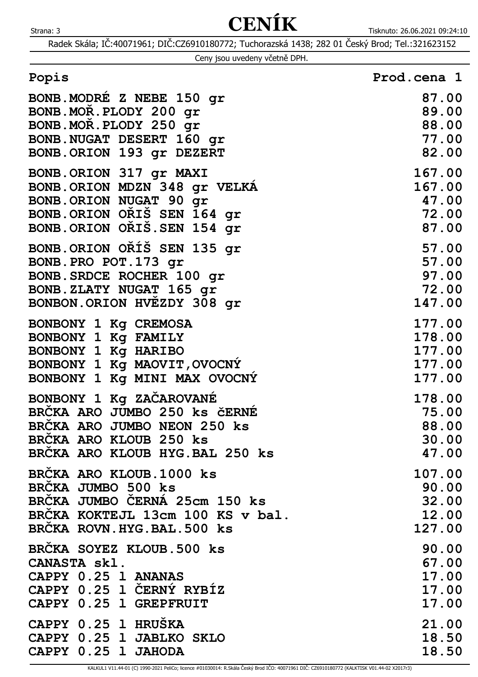|  |  |  | Ceny jsou uvedeny včetně DPH. |  |  |
|--|--|--|-------------------------------|--|--|
|--|--|--|-------------------------------|--|--|

| Popis                            | Prod.cena 1 |
|----------------------------------|-------------|
| BONB. MODRE Z NEBE 150 gr        | 87.00       |
| BONB.MOR.PLODY 200 gr            | 89.00       |
| BONB.MOR.PLODY 250 gr            | 88.00       |
| BONB.NUGAT DESERT 160 gr         | 77.00       |
| BONB.ORION 193 gr DEZERT         | 82.00       |
| BONB.ORION 317 gr MAXI           | 167.00      |
| BONB. ORION MDZN 348 gr VELKA    | 167.00      |
| BONB.ORION NUGAT 90 qr           | 47.00       |
| BONB.ORION ORIS SEN 164 gr       | 72.00       |
| BONB.ORION ORIS.SEN 154 gr       | 87.00       |
| BONB.ORION ORIŠ SEN 135 gr       | 57.00       |
| BONB.PRO POT.173 gr              | 57.00       |
| BONB. SRDCE ROCHER 100 gr        | 97.00       |
| BONB.ZLATY NUGAT 165 gr          | 72.00       |
| BONBON.ORION HVEZDY 308 gr       | 147.00      |
| BONBONY 1 Kg CREMOSA             | 177.00      |
| BONBONY 1 Kg FAMILY              | 178.00      |
| BONBONY 1 Kg HARIBO              | 177.00      |
| BONBONY 1 Kg MAOVIT, OVOCNY      | 177.00      |
| BONBONY 1 Kg MINI MAX OVOCNY     | 177.00      |
| BONBONY 1 Kg ZAČAROVANÉ          | 178.00      |
| BRČKA ARO JUMBO 250 ks ČERNÉ     | 75.00       |
| BRCKA ARO JUMBO NEON 250 ks      | 88.00       |
| <b>BRCKA ARO KLOUB 250 ks</b>    | 30.00       |
| BRCKA ARO KLOUB HYG. BAL 250 ks  | 47.00       |
| BRČKA ARO KLOUB.1000 ks          | 107.00      |
| BRČKA JUMBO 500 ks               | 90.00       |
| BRČKA JUMBO ČERNÁ 25cm 150 ks    | 32.00       |
| BRČKA KOKTEJL 13cm 100 KS v bal. | 12.00       |
| BRCKA ROVN.HYG.BAL.500 ks        | 127.00      |
| BRCKA SOYEZ KLOUB.500 ks         | 90.00       |
| CANASTA skl.                     | 67.00       |
| CAPPY 0.25 1 ANANAS              | 17.00       |
| CAPPY 0.25 1 CERNÝ RYBÍZ         | 17.00       |
| CAPPY 0.25 1 GREPFRUIT           | 17.00       |
| CAPPY 0.25 1 HRUŠKA              | 21.00       |
| CAPPY 0.25 1 JABLKO SKLO         | 18.50       |
| CAPPY 0.25 1 JAHODA              | 18.50       |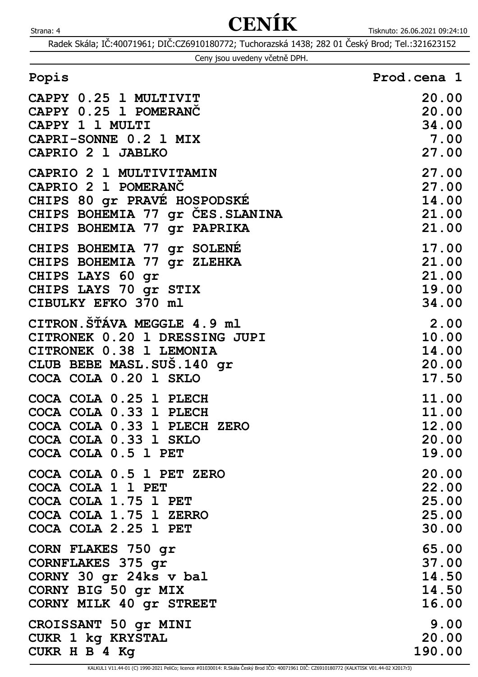|  | Ceny jsou uvedeny včetně DPH. |  |
|--|-------------------------------|--|
|  |                               |  |

| Popis                           | Prod.cena 1 |
|---------------------------------|-------------|
| CAPPY 0.25 1 MULTIVIT           | 20.00       |
| CAPPY 0.25 1 POMERANČ           | 20.00       |
| CAPPY 1 1 MULTI                 | 34.00       |
| CAPRI-SONNE 0.2 1 MIX           | 7.00        |
| CAPRIO 2 1 JABLKO               | 27.00       |
| CAPRIO 2 1 MULTIVITAMIN         | 27.00       |
| CAPRIO 2 1 POMERANČ             | 27.00       |
| CHIPS 80 gr PRAVE HOSPODSKE     | 14.00       |
| CHIPS BOHEMIA 77 gr CES.SLANINA | 21.00       |
| CHIPS BOHEMIA 77 gr PAPRIKA     | 21.00       |
| CHIPS BOHEMIA 77 gr SOLENE      | 17.00       |
| CHIPS BOHEMIA 77 gr ZLEHKA      | 21.00       |
| CHIPS LAYS 60 gr                | 21.00       |
| CHIPS LAYS 70 gr STIX           | 19.00       |
| CIBULKY EFKO 370 ml             | 34.00       |
| CITRON. ŠŤÁVA MEGGLE 4.9 ml     | 2.00        |
| CITRONEK 0.20 1 DRESSING JUPI   | 10.00       |
| CITRONEK 0.38 1 LEMONIA         | 14.00       |
| CLUB BEBE MASL. SUS. 140 gr     | 20.00       |
| COCA COLA 0.20 1 SKLO           | 17.50       |
| COCA COLA 0.25 1 PLECH          | 11.00       |
| COCA COLA 0.33 1 PLECH          | 11.00       |
| COCA COLA 0.33 1 PLECH ZERO     | 12.00       |
| COCA COLA 0.33 1 SKLO           | 20.00       |
| COCA COLA 0.5 1 PET             | 19.00       |
| COCA COLA 0.5 1 PET ZERO        | 20.00       |
| COCA COLA 1 1 PET               | 22.00       |
| COCA COLA 1.75 1 PET            | 25.00       |
| COCA COLA 1.75 1 ZERRO          | 25.00       |
| COCA COLA 2.25 1 PET            | 30.00       |
| CORN FLAKES 750 gr              | 65.00       |
| CORNFLAKES 375 gr               | 37.00       |
| CORNY 30 gr 24ks v bal          | 14.50       |
| CORNY BIG 50 gr MIX             | 14.50       |
| CORNY MILK 40 gr STREET         | 16.00       |
| CROISSANT 50 gr MINI            | 9.00        |
| CUKR 1 kg KRYSTAL               | 20.00       |
| CUKR H B 4 Kg                   | 190.00      |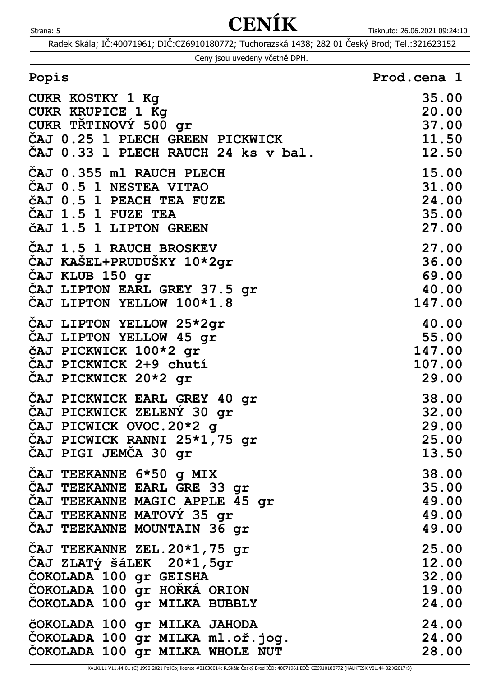Radek Skála; IČ:40071961; DIČ:CZ6910180772; Tuchorazská 1438; 282 01 Český Brod; Tel.:321623152

| Ceny jsou uvedeny včetně DPH. |  |  |
|-------------------------------|--|--|
|                               |  |  |

| CUKR KOSTKY 1 Kg<br><b>CUKR KRUPICE 1 Kg</b> | 35.00<br>20.00 |
|----------------------------------------------|----------------|
| CUKR TŘTINOVÝ 500 gr                         | 37.00          |
| CAJ 0.25 1 PLECH GREEN PICKWICK              | 11.50          |
| CAJ 0.33 1 PLECH RAUCH 24 ks v bal.          | 12.50          |
|                                              |                |
| ČAJ 0.355 ml RAUCH PLECH                     | 15.00          |
| CAJ 0.5 1 NESTEA VITAO                       | 31.00          |
| čAJ 0.5 1 PEACH TEA FUZE                     | 24.00          |
| CAJ 1.5 1 FUZE TEA                           | 35.00          |
| ČAJ 1.5 1 LIPTON GREEN                       | 27.00          |
|                                              |                |
| ČAJ 1.5 1 RAUCH BROSKEV                      | 27.00          |
| ČAJ KAŠEL+PRUDUŠKY 10*2gr                    | 36.00          |
| CAJ KLUB 150 gr                              | 69.00          |
| CAJ LIPTON EARL GREY 37.5 gr                 | 40.00          |
| CAJ LIPTON YELLOW 100*1.8                    | 147.00         |
| CAJ LIPTON YELLOW 25*2gr                     | 40.00          |
| CAJ LIPTON YELLOW 45 gr                      | 55.00          |
| čAJ PICKWICK 100*2 gr                        | 147.00         |
| CAJ PICKWICK 2+9 chutí                       | 107.00         |
| CAJ PICKWICK 20*2 gr                         | 29.00          |
|                                              |                |
| ČAJ PICKWICK EARL GREY 40 gr                 | 38.00          |
| ČAJ PICKWICK ZELENY 30 gr                    | 32.00          |
| CAJ PICWICK OVOC.20*2 g                      | 29.00          |
| ČAJ PICWICK RANNI 25*1,75 gr                 | 25.00          |
| ČAJ PIGI JEMČA 30 gr                         | 13.50          |
| CAJ TEEKANNE 6*50 g MIX                      | 38.00          |
| CAJ TEEKANNE EARL GRE 33 gr                  | 35.00          |
| CAJ TEEKANNE MAGIC APPLE 45 gr               | 49.00          |
| CAJ TEEKANNE MATOVÝ 35 gr                    | 49.00          |
| CAJ TEEKANNE MOUNTAIN 36 gr                  | 49.00          |
| ČAJ TEEKANNE ZEL.20*1,75 gr                  | 25.00          |
| CAJ ZLATÝ ŠÁLEK 20*1,5gr                     | 12.00          |
| COKOLADA 100 gr GEISHA                       | 32.00          |
|                                              |                |
| COKOLADA 100 gr HORKA ORION                  | 19.00          |
| COKOLADA 100 gr MILKA BUBBLY                 | 24.00          |
| ČOKOLADA 100 gr MILKA JAHODA                 | 24.00          |
| COKOLADA 100 gr MILKA ml.oř.jog.             | 24.00          |
| COKOLADA 100 gr MILKA WHOLE NUT              | 28.00          |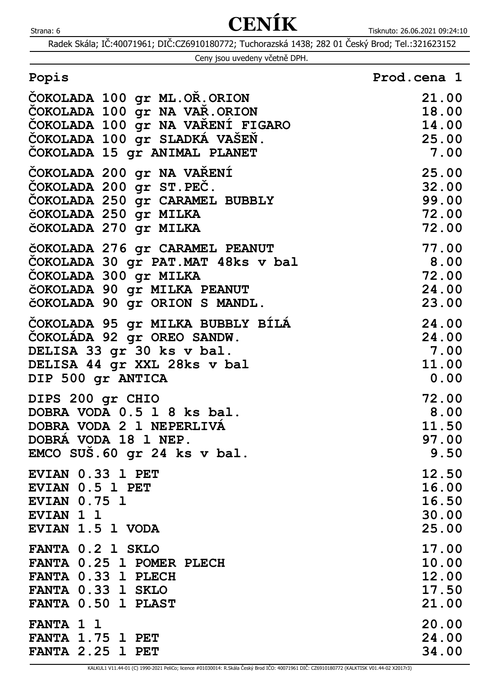| Ceny jsou uvedeny včetně DPH. |  |  |
|-------------------------------|--|--|
|                               |  |  |

| Popis | Prod.cena 1 |  |
|-------|-------------|--|
|       |             |  |

| ČOKOLADA 100 gr ML.OR.ORION       | 21.00 |
|-----------------------------------|-------|
| COKOLADA 100 gr NA VAR.ORION      | 18.00 |
| COKOLADA 100 gr NA VARENI FIGARO  | 14.00 |
| ČOKOLADA 100 gr SLADKÁ VAŠEŇ.     | 25.00 |
| COKOLADA 15 gr ANIMAL PLANET      | 7.00  |
| COKOLADA 200 gr NA VARENI         | 25.00 |
| ČOKOLADA 200 gr ST.PEC.           | 32.00 |
| COKOLADA 250 gr CARAMEL BUBBLY    | 99.00 |
| čOKOLADA 250 gr MILKA             | 72.00 |
| čOKOLADA 270 gr MILKA             | 72.00 |
| ČOKOLADA 276 gr CARAMEL PEANUT    | 77.00 |
| COKOLADA 30 gr PAT.MAT 48ks v bal | 8.00  |
| COKOLADA 300 gr MILKA             | 72.00 |
| ČOKOLADA 90 gr MILKA PEANUT       | 24.00 |
| ČOKOLADA 90 gr ORION S MANDL.     | 23.00 |
| COKOLADA 95 gr MILKA BUBBLY BILA  | 24.00 |
| COKOLADA 92 gr OREO SANDW.        | 24.00 |
| DELISA 33 gr 30 ks v bal.         | 7.00  |
| DELISA 44 gr XXL 28ks v bal       | 11.00 |
| DIP 500 gr ANTICA                 | 0.00  |
| DIPS 200 gr CHIO                  | 72.00 |
| DOBRA VODA 0.5 1 8 ks bal.        | 8.00  |
| DOBRA VODA 2 1 NEPERLIVA          | 11.50 |
| DOBRA VODA 18 1 NEP.              | 97.00 |
| EMCO SUŠ.60 gr 24 ks v bal.       | 9.50  |
| EVIAN 0.33 1 PET                  | 12.50 |
| EVIAN 0.5 1 PET                   | 16.00 |
| <b>EVIAN 0.75 1</b>               | 16.50 |
| <b>EVIAN 1 1</b>                  | 30.00 |
| EVIAN 1.5 1 VODA                  | 25.00 |
| FANTA 0.2 1 SKLO                  | 17.00 |
| FANTA 0.25 1 POMER PLECH          | 10.00 |
| FANTA 0.33 1 PLECH                | 12.00 |
| FANTA 0.33 1 SKLO                 | 17.50 |
| FANTA 0.50 1 PLAST                | 21.00 |
| FANTA 1 1                         | 20.00 |
| FANTA 1.75 1 PET                  | 24.00 |
| <b>FANTA 2.25 1 PET</b>           | 34.00 |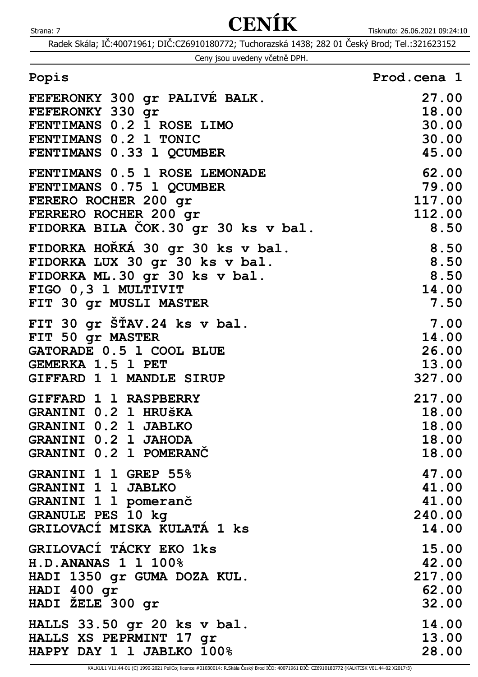| Ceny jsou uvedeny včetně DPH. |  |  |  |
|-------------------------------|--|--|--|
|-------------------------------|--|--|--|

| Popis                               | Prod.cena 1 |
|-------------------------------------|-------------|
| FEFERONKY 300 gr PALIVÉ BALK.       | 27.00       |
| FEFERONKY 330 gr                    | 18.00       |
| FENTIMANS 0.2 1 ROSE LIMO           | 30.00       |
| FENTIMANS 0.2 1 TONIC               | 30.00       |
| FENTIMANS 0.33 1 QCUMBER            | 45.00       |
| FENTIMANS 0.5 1 ROSE LEMONADE       | 62.00       |
| FENTIMANS 0.75 1 QCUMBER            | 79.00       |
| FERERO ROCHER 200 gr                | 117.00      |
| FERRERO ROCHER 200 gr               | 112.00      |
| FIDORKA BILA COK.30 gr 30 ks v bal. | 8.50        |
| FIDORKA HOŘKÁ 30 gr 30 ks v bal.    | 8.50        |
| FIDORKA LUX 30 gr 30 ks v bal.      | 8.50        |
| FIDORKA ML.30 gr 30 ks v bal.       | 8.50        |
| FIGO 0,3 1 MULTIVIT                 | 14.00       |
| FIT 30 gr MUSLI MASTER              | 7.50        |
| FIT 30 gr STAV.24 ks v bal.         | 7.00        |
| FIT 50 gr MASTER                    | 14.00       |
| GATORADE 0.5 1 COOL BLUE            | 26.00       |
| <b>GEMERKA 1.5 1 PET</b>            | 13.00       |
| GIFFARD 1 1 MANDLE SIRUP            | 327.00      |
| GIFFARD 1 1 RASPBERRY               | 217.00      |
| GRANINI 0.2 1 HRUŠKA                | 18.00       |
| GRANINI 0.2 1 JABLKO                | 18.00       |
| GRANINI 0.2 1 JAHODA                | 18.00       |
| GRANINI 0.2 1 POMERANC              | 18.00       |
| GRANINI 1 1 GREP 55%                | 47.00       |
| <b>GRANINI 1 1 JABLKO</b>           | 41.00       |
| GRANINI 1 1 pomeranč                | 41.00       |
| <b>GRANULE PES 10 kg</b>            | 240.00      |
| GRILOVACI MISKA KULATA 1 ks         | 14.00       |
| GRILOVACÍ TÁCKY EKO 1ks             | 15.00       |
| H.D. ANANAS 1 1 100%                | 42.00       |
| HADI 1350 gr GUMA DOZA KUL.         | 217.00      |
| HADI 400 gr                         | 62.00       |
| HADI ZELE 300 gr                    | 32.00       |
| HALLS 33.50 gr 20 ks v bal.         | 14.00       |
| HALLS XS PEPRMINT 17 gr             | 13.00       |
| HAPPY DAY 1 1 JABLKO 100%           | 28.00       |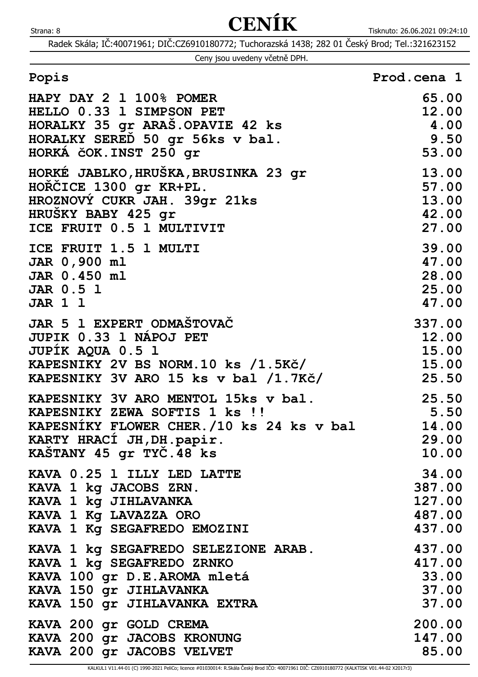Radek Skála; IČ:40071961; DIČ:CZ6910180772; Tuchorazská 1438; 282 01 Český Brod; Tel.:321623152

|  | Ceny jsou uvedeny včetně DPH. |  |
|--|-------------------------------|--|
|  |                               |  |

| HAPY DAY 2 1 100% POMER                  | 65.00              |
|------------------------------------------|--------------------|
| HELLO 0.33 1 SIMPSON PET                 | 12.00              |
| HORALKY 35 gr ARAŠ. OPAVIE 42 ks         | 4.00               |
| HORALKY SERED 50 gr 56ks v bal.          | 9.50               |
| HORKÁ ČOK. INST 250 gr                   | 53.00              |
| HORKÉ JABLKO, HRUŠKA, BRUSINKA 23 gr     | 13.00              |
| HOŘČICE 1300 gr KR+PL.                   | 57.00              |
| HROZNOVÝ CUKR JAH. 39gr 21ks             | 13.00              |
| HRUSKY BABY 425 gr                       | 42.00              |
| ICE FRUIT 0.5 1 MULTIVIT                 | 27.00              |
| ICE FRUIT 1.5 1 MULTI                    | 39.00              |
| JAR 0,900 ml                             | 47.00              |
| JAR 0.450 ml                             | 28.00              |
| <b>JAR 0.5 1</b>                         | 25.00              |
| <b>JAR 1 1</b>                           | 47.00              |
| JAR 5 1 EXPERT ODMASTOVAC                | 337.00             |
| JUPIK 0.33 1 NÁPOJ PET                   | 12.00              |
| JUPIK AQUA 0.5 1                         | 15.00              |
| KAPESNIKY 2V BS NORM.10 ks /1.5Kč/       | $\overline{15.00}$ |
| KAPESNIKY 3V ARO 15 ks v bal /1.7Kč/     | 25.50              |
| KAPESNIKY 3V ARO MENTOL 15ks v bal.      | 25.50              |
| KAPESNIKY ZEWA SOFTIS 1 ks !!            | 5.50               |
| KAPESNIKY FLOWER CHER./10 ks 24 ks v bal | 14.00              |
| KARTY HRACI JH, DH. papir.               | 29.00              |
| KASTANY 45 gr TYC.48 ks                  | 10.00              |
| KAVA 0.25 1 ILLY LED LATTE               | 34.00              |
| KAVA 1 kg JACOBS ZRN.                    | 387.00             |
| KAVA 1 kg JIHLAVANKA                     | 127.00             |
| KAVA 1 Kg LAVAZZA ORO                    | 487.00             |
| KAVA 1 Kg SEGAFREDO EMOZINI              | 437.00             |
| KAVA 1 kg SEGAFREDO SELEZIONE ARAB.      | 437.00             |
| KAVA 1 kg SEGAFREDO ZRNKO                | 417.00             |
| KAVA 100 gr D.E.AROMA mletá              | 33.00              |
| KAVA 150 gr JIHLAVANKA                   | 37.00              |
| KAVA 150 gr JIHLAVANKA EXTRA             | 37.00              |
| KAVA 200 gr GOLD CREMA                   | 200.00             |
| KAVA 200 gr JACOBS KRONUNG               | 147.00             |
| KAVA 200 gr JACOBS VELVET                | 85.00              |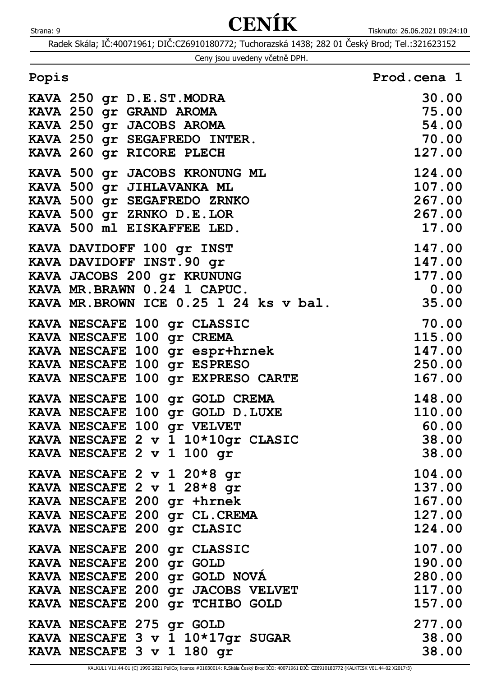| Ceny jsou uvedeny včetně DPH. |  |  |  |  |  |
|-------------------------------|--|--|--|--|--|
|-------------------------------|--|--|--|--|--|

| Popis                        | Prod.cena 1 |
|------------------------------|-------------|
| ****** OFO  P. P. OFF ALOPPE | nn nn       |

| KAVA 250 gr D.E.ST.MODRA<br>KAVA 250 gr GRAND AROMA | 30.00                                                |
|-----------------------------------------------------|------------------------------------------------------|
| KAVA 250 gr JACOBS AROMA                            | 75.00<br>54.00                                       |
| KAVA 250 gr SEGAFREDO INTER.                        | 70.00                                                |
| KAVA 260 gr RICORE PLECH                            | 127.00                                               |
|                                                     |                                                      |
| KAVA 500 gr JACOBS KRONUNG ML                       | 124.00                                               |
| KAVA 500 gr JIHLAVANKA ML                           |                                                      |
| KAVA 500 gr SEGAFREDO ZRNKO                         | $\frac{107.00}{267.00}$                              |
| KAVA 500 gr ZRNKO D.E.LOR                           | 267.00                                               |
| KAVA 500 ml EISKAFFEE LED.                          | 17.00                                                |
| KAVA DAVIDOFF 100 gr INST                           | 147.00                                               |
| KAVA DAVIDOFF INST. 90 gr                           | $\overline{147.00}$                                  |
| KAVA JACOBS 200 gr KRUNUNG                          | 177.00                                               |
| KAVA MR. BRAWN 0.24 1 CAPUC.                        | 0.00                                                 |
| KAVA MR. BROWN ICE 0.25 1 24 ks v bal.              | 35.00                                                |
| KAVA NESCAFE 100 gr CLASSIC                         | $\begin{array}{c} 23.00 \\ 70.00 \\ 115 \end{array}$ |
| KAVA NESCAFE 100 gr CREMA                           |                                                      |
| KAVA NESCAFE 100 gr espr+hrnek                      | 147.00                                               |
| KAVA NESCAFE 100 gr ESPRESO                         | 250.00                                               |
| KAVA NESCAFE 100 Gr EXPRESO CARTE (167.00           |                                                      |
| KAVA NESCAFE 100 gr GOLD CREMA                      | 148.00                                               |
| KAVA NESCAFE 100 gr GOLD D.LUXE                     | 110.00                                               |
| KAVA NESCAFE 100 gr VELVET                          | 60.00                                                |
| KAVA NESCAFE 2 v 1 10*10gr CLASIC                   | 38.00                                                |
| KAVA NESCAFE 2 v 1 100 gr                           | 38.00                                                |
| KAVA NESCAFE 2 v 1 20*8 gr                          | 104.00                                               |
| KAVA NESCAFE 2 v 1 28*8 gr                          | 137.00                                               |
| KAVA NESCAFE 200 gr +hrnek                          | 167.00                                               |
| KAVA NESCAFE 200 gr CL.CREMA                        | 127.00                                               |
| KAVA NESCAFE 200 gr CLASIC                          | 124.00                                               |
| KAVA NESCAFE 200 gr CLASSIC                         | 107.00                                               |
| KAVA NESCAFE 200 gr GOLD                            | 190.00                                               |
| KAVA NESCAFE 200 gr GOLD NOVA                       | 280.00                                               |
| KAVA NESCAFE 200 gr JACOBS VELVET                   | 117.00                                               |
| KAVA NESCAFE 200 gr TCHIBO GOLD                     | 157.00                                               |
| KAVA NESCAFE 275 gr GOLD                            | 277.00                                               |
| KAVA NESCAFE 3 v 1 10*17gr SUGAR                    | 38.00                                                |
| KAVA NESCAFE 3 v 1 180 gr                           | 38.00                                                |
|                                                     |                                                      |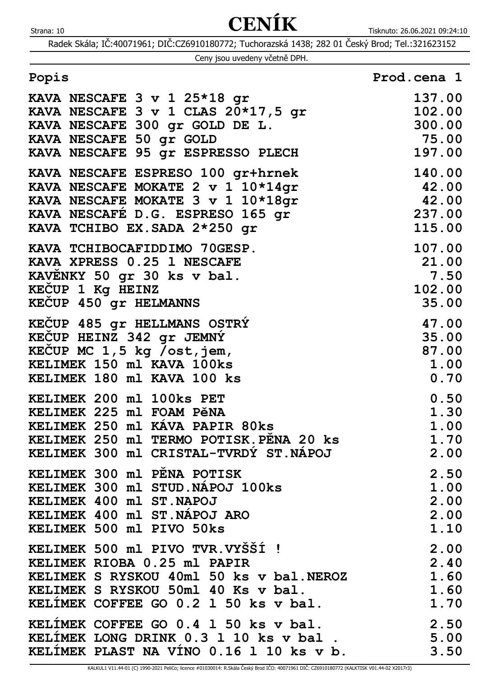| Ceny jsou uvedeny včetně DPH. |  |  |
|-------------------------------|--|--|
|                               |  |  |

| Popis                                                                                                                                                                                                                      | Prod.cena 1                                                      |
|----------------------------------------------------------------------------------------------------------------------------------------------------------------------------------------------------------------------------|------------------------------------------------------------------|
| KAVA NESCAFE 3 v 1 25*18 gr                                                                                                                                                                                                | 137.00                                                           |
| KAVA NESCAFE 3 v 1 CLAS 20*17,5 gr                                                                                                                                                                                         | 102.00                                                           |
| KAVA NESCAFE 300 gr GOLD DE L.                                                                                                                                                                                             | 300.00                                                           |
| KAVA NESCAFE 50 gr GOLD                                                                                                                                                                                                    | $\begin{array}{r} \textbf{75.00} \\ \textbf{197.00} \end{array}$ |
| KAVA NESCAFE 95 gr ESPRESSO PLECH                                                                                                                                                                                          | 197.00                                                           |
| KAVA NESCAFE ESPRESO 100 gr+hrnek<br>KAVA NESCAFE MOKATE 2 v 1 10*14gr<br>KAVA NESCAFE MOKATE 3 v 1 10*18gr<br>EXAVA NESCAFÉ D.G. ESPRESO 165 gr $237.00$<br>KAVA TCHIRO EX SADA 2+250 cm<br>KAVA TCHIBO EX. SADA 2*250 gr | 140.00<br>42.00<br>42.00<br>115.00                               |
| KAVA TCHIBOCAFIDDIMO 70GESP.                                                                                                                                                                                               | 107.00                                                           |
| KAVA XPRESS 0.25 1 NESCAFE                                                                                                                                                                                                 | 21.00                                                            |
| KAVENKY 50 gr 30 ks v bal.                                                                                                                                                                                                 | 7.50                                                             |
| KEČUP 1 Kg HEINZ                                                                                                                                                                                                           | 102.00                                                           |
| KECUP 450 gr HELMANNS                                                                                                                                                                                                      | 35.00                                                            |
| KEČUP 485 gr HELLMANS OSTRY                                                                                                                                                                                                | 47.00                                                            |
| KECUP HEINZ 342 gr JEMNÝ                                                                                                                                                                                                   | 35.00                                                            |
| KECUP MC $1,5$ kg /ost, jem,                                                                                                                                                                                               | 87.00                                                            |
| KELIMEK 150 ml KAVA 100ks                                                                                                                                                                                                  | 1.00                                                             |
| KELIMEK 180 ml KAVA 100 ks                                                                                                                                                                                                 | 0.70                                                             |
| KELIMEK 200 ml 100ks PET                                                                                                                                                                                                   | 0.50                                                             |
| KELIMEK 225 ml FOAM PěNA                                                                                                                                                                                                   | 1.30                                                             |
| KELIMEK 250 ml KÁVA PAPIR 80ks                                                                                                                                                                                             | 1.00                                                             |
| KELIMEK 250 ml TERMO POTISK.PENA 20 ks                                                                                                                                                                                     | 1.70                                                             |
| KELIMEK 300 ml CRISTAL-TVRDÝ ST.NÁPOJ                                                                                                                                                                                      | 2.00                                                             |
| KELIMEK 300 ml PENA POTISK                                                                                                                                                                                                 | 2.50                                                             |
| KELIMEK 300 ml STUD. NÁPOJ 100ks                                                                                                                                                                                           | 1.00                                                             |
| KELIMEK 400 ml ST. NAPOJ                                                                                                                                                                                                   | 2.00                                                             |
| KELIMEK 400 ml ST. NÁPOJ ARO                                                                                                                                                                                               | 2.00                                                             |
| KELIMEK 500 ml PIVO 50ks                                                                                                                                                                                                   | 1.10                                                             |
| KELIMEK 500 ml PIVO TVR.VYŠŠÍ !                                                                                                                                                                                            | 2.00                                                             |
| KELIMEK RIOBA 0.25 ml PAPIR                                                                                                                                                                                                | 2.40                                                             |
| KELIMEK S RYSKOU 40ml 50 ks v bal. NEROZ                                                                                                                                                                                   | 1.60                                                             |
| KELIMEK S RYSKOU 50ml 40 Ks v bal.                                                                                                                                                                                         | $\mathbf 1$ . $\mathbf 60$                                       |
| KELIMEK COFFEE GO 0.2 1 50 ks v bal.                                                                                                                                                                                       | 1.70                                                             |
| KELIMEK COFFEE GO 0.4 1 50 ks v bal.                                                                                                                                                                                       | 2.50                                                             |
| KELÍMEK LONG DRINK 0.3 1 10 ks v bal.                                                                                                                                                                                      | 5.00                                                             |
| KELIMEK PLAST NA VINO 0.16 1 10 ks v b.                                                                                                                                                                                    | 3.50                                                             |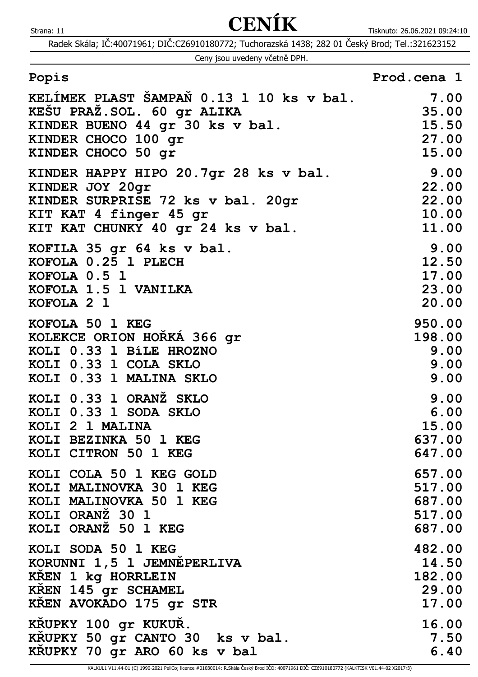Radek Skála; IČ:40071961; DIČ:CZ6910180772; Tuchorazská 1438; 282 01 Český Brod; Tel.:321623152

Ceny jsou uvedeny včetně DPH.

| KELÍMEK PLAST ŠAMPAŇ 0.13 1 10 ks v bal. | 7.00   |
|------------------------------------------|--------|
| KESU PRAZ.SOL. 60 gr ALIKA               | 35.00  |
| KINDER BUENO 44 gr 30 ks v bal.          | 15.50  |
| KINDER CHOCO 100 gr                      | 27.00  |
| KINDER CHOCO 50 gr                       | 15.00  |
| KINDER HAPPY HIPO 20.7gr 28 ks v bal.    | 9.00   |
| KINDER JOY 20gr                          | 22.00  |
| KINDER SURPRISE 72 ks v bal. 20gr        | 22.00  |
| KIT KAT 4 finger 45 gr                   | 10.00  |
| KIT KAT CHUNKY 40 gr 24 ks v bal.        | 11.00  |
| KOFILA 35 gr 64 ks v bal.                | 9.00   |
| KOFOLA 0.25 1 PLECH                      | 12.50  |
| KOFOLA 0.5 1                             | 17.00  |
| KOFOLA 1.5 1 VANILKA                     | 23.00  |
| KOFOLA 2 1                               | 20.00  |
| KOFOLA 50 1 KEG                          | 950.00 |
| KOLEKCE ORION HORKA 366 gr               | 198.00 |
| KOLI 0.33 1 BÍLE HROZNO                  | 9.00   |
| KOLI 0.33 1 COLA SKLO                    | 9.00   |
| KOLI 0.33 1 MALINA SKLO                  | 9.00   |
| KOLI 0.33 1 ORANŽ SKLO                   | 9.00   |
| KOLI 0.33 1 SODA SKLO                    | 6.00   |
| KOLI 2 1 MALINA                          | 15.00  |
| KOLI BEZINKA 50 1 KEG                    | 637.00 |
| KOLI CITRON 50 1 KEG                     | 647.00 |
| KOLI COLA 50 1 KEG GOLD                  | 657.00 |
| KOLI MALINOVKA 30 1 KEG                  | 517.00 |
| KOLI MALINOVKA 50 1 KEG                  | 687.00 |
| KOLI ORANŽ 30 1                          | 517.00 |
| KOLI ORANZ 50 1 KEG                      | 687.00 |
| KOLI SODA 50 1 KEG                       | 482.00 |
| KORUNNI 1,5 1 JEMNEPERLIVA               | 14.50  |
| KREN 1 kg HORRLEIN                       | 182.00 |
| KREN 145 gr SCHAMEL                      | 29.00  |
| KREN AVOKADO 175 gr STR                  | 17.00  |
| KRUPKY 100 gr KUKUR.                     | 16.00  |
| KRUPKY 50 gr CANTO 30 ks v bal.          | 7.50   |
| KRUPKY 70 gr ARO 60 ks v bal             | 6.40   |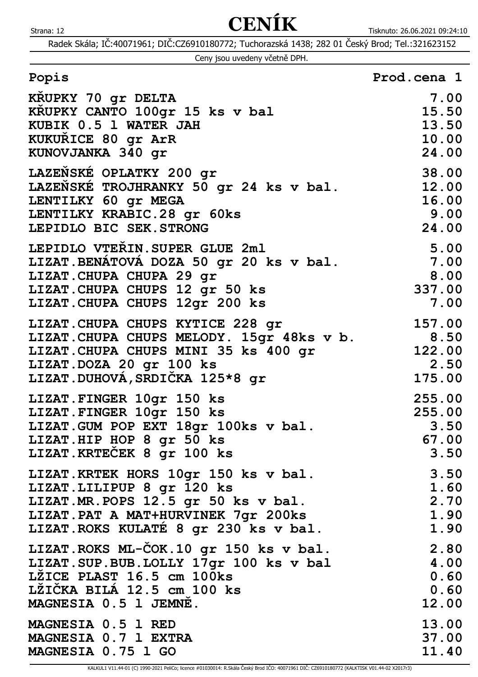Radek Skála; IČ:40071961; DIČ:CZ6910180772; Tuchorazská 1438; 282 01 Český Brod; Tel.:321623152

Ceny jsou uvedeny včetně DPH.

| Popis                                                                                                                                                                                   | Prod.cena 1                                |
|-----------------------------------------------------------------------------------------------------------------------------------------------------------------------------------------|--------------------------------------------|
| KRUPKY 70 gr DELTA                                                                                                                                                                      | 7.00                                       |
| KRUPKY CANTO 100gr 15 ks v bal                                                                                                                                                          | 15.50                                      |
| KUBIK 0.5 1 WATER JAH                                                                                                                                                                   | 13.50                                      |
| KUKURICE 80 gr ArR                                                                                                                                                                      | 10.00                                      |
| KUNOVJANKA 340 gr                                                                                                                                                                       | 24.00                                      |
| LAZEŇSKÉ OPLATKY 200 gr                                                                                                                                                                 | 38.00                                      |
| LAZEŇSKÉ TROJHRANKY 50 gr 24 ks v bal.                                                                                                                                                  | 12.00                                      |
| LENTILKY 60 gr MEGA                                                                                                                                                                     | 16.00                                      |
| LENTILKY KRABIC.28 gr 60ks                                                                                                                                                              | 9.00                                       |
| LEPIDLO BIC SEK. STRONG                                                                                                                                                                 | 24.00                                      |
| LEPIDLO VTEŘIN. SUPER GLUE 2ml<br>LIZAT. BENÁTOVÁ DOZA 50 gr 20 ks v bal.<br>LIZAT. CHUPA CHUPA 29 gr<br>LIZAT. CHUPA CHUPS 12 gr 50 ks<br>LIZAT. CHUPA CHUPS 12gr 200 ks               | $5.00$<br>$7.00$<br>8.00<br>337.00<br>7.00 |
| LIZAT. CHUPA CHUPS KYTICE 228 gr<br>LIZAT. CHUPA CHUPS MELODY. 15gr 48ks v b. 3.50<br>LIZAT. CHUPA CHUPS MINI 35 ks 400 gr<br>LIZAT.DOZA 20 gr 100 ks<br>LIZAT.DUHOVA, SRDIČKA 125*8 gr | 157.00<br>122.00<br>2.50<br>175.00         |
| LIZAT. FINGER 10gr 150 ks                                                                                                                                                               | 255.00                                     |
| LIZAT. FINGER 10gr 150 ks                                                                                                                                                               | 255.00                                     |
| LIZAT. GUM POP EXT 18gr 100ks v bal.                                                                                                                                                    | 3.50                                       |
| LIZAT.HIP HOP 8 gr 50 ks                                                                                                                                                                | 67.00                                      |
| LIZAT. KRTEČEK 8 gr 100 ks                                                                                                                                                              | 3.50                                       |
| LIZAT. KRTEK HORS 10gr 150 ks v bal.                                                                                                                                                    | 3.50                                       |
| LIZAT. LILIPUP 8 gr 120 ks                                                                                                                                                              | 1.60                                       |
| LIZAT.MR.POPS 12.5 gr 50 ks v bal.                                                                                                                                                      | 2.70                                       |
| LIZAT. PAT A MAT+HURVINEK 7gr 200ks                                                                                                                                                     | 1.90                                       |
| LIZAT. ROKS KULATÉ 8 gr 230 ks v bal.                                                                                                                                                   | 1.90                                       |
| LIZAT. ROKS ML-ČOK. 10 gr 150 ks v bal.                                                                                                                                                 | 2.80                                       |
| LIZAT. SUP. BUB. LOLLY 17gr 100 ks v bal                                                                                                                                                | 4.00                                       |
| LŽICE PLAST 16.5 cm 100ks                                                                                                                                                               | 0.60                                       |
| LZIČKA BILA 12.5 cm 100 ks                                                                                                                                                              | 0.60                                       |
| MAGNESIA 0.5 1 JEMNE.                                                                                                                                                                   | 12.00                                      |
| MAGNESIA 0.5 1 RED                                                                                                                                                                      | 13.00                                      |
| MAGNESIA 0.7 1 EXTRA                                                                                                                                                                    | 37.00                                      |
| MAGNESIA 0.75 1 GO                                                                                                                                                                      | 11.40                                      |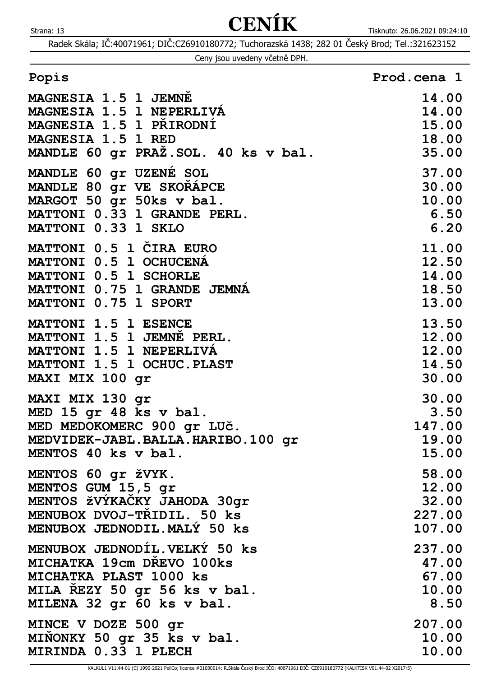|  | Ceny jsou uvedeny včetně DPH. |  |
|--|-------------------------------|--|
|  |                               |  |

| Popis | Prod.cena 1 |
|-------|-------------|
|       |             |

| MAGNESIA 1.5 1 JEMNE                 | 14.00        |
|--------------------------------------|--------------|
| MAGNESIA 1.5 1 NEPERLIVA             | 14.00        |
| MAGNESIA 1.5 1 PŘIRODNÍ              | 15.00        |
| MAGNESIA 1.5 1 RED                   | <b>18.00</b> |
| MANDLE 60 gr PRAŽ. SOL. 40 ks v bal. | 35.00        |
| MANDLE 60 gr UZENÉ SOL               | 37.00        |
| MANDLE 80 gr VE SKORAPCE             | 30.00        |
| MARGOT 50 gr 50ks v bal.             | 10.00        |
| MATTONI 0.33 1 GRANDE PERL.          | 6.50         |
| MATTONI 0.33 1 SKLO                  | 6.20         |
| MATTONI 0.5 1 ČIRA EURO              | 11.00        |
| MATTONI 0.5 1 OCHUCENA               | <b>12.50</b> |
| MATTONI 0.5 1 SCHORLE                | 14.00        |
| MATTONI 0.75 1 GRANDE JEMNÁ          | 18.50        |
| MATTONI 0.75 1 SPORT                 | 13.00        |
| MATTONI 1.5 1 ESENCE                 | 13.50        |
| MATTONI 1.5 1 JEMNE PERL.            | <b>12.00</b> |
| MATTONI 1.5 1 NEPERLIVÁ              | <b>12.00</b> |
| MATTONI 1.5 1 OCHUC. PLAST           | 14.50        |
| MAXI MIX 100 gr                      | 30.00        |
| MAXI MIX 130 gr                      | 30.00        |
| MED 15 gr 48 ks v bal.               | 3.50         |
| MED MEDOKOMERC 900 gr LUČ.           | 147.00       |
| MEDVIDEK-JABL.BALLA.HARIBO.100 qr    | 19.00        |
| MENTOS 40 ks v bal.                  | <b>15.00</b> |
| MENTOS 60 gr žVYK.                   | 58.00        |
| MENTOS GUM 15,5 gr                   | 12.00        |
| MENTOS ŽVÝKAČKY JAHODA 30qr          | 32.00        |
| MENUBOX DVOJ-TRIDIL. 50 ks           | 227.00       |
| MENUBOX JEDNODIL. MALÝ 50 ks         | 107.00       |
| MENUBOX JEDNODÍL. VELKÝ 50 ks        | 237.00       |
| MICHATKA 19cm DREVO 100ks            | 47.00        |
| MICHATKA PLAST 1000 ks               | 67.00        |
| MILA REZY 50 gr 56 ks v bal.         | 10.00        |
| MILENA 32 gr 60 ks v bal.            | 8.50         |
| MINCE V DOZE 500 gr                  | 207.00       |
| MINONKY 50 gr 35 ks v bal.           | 10.00        |
| MIRINDA 0.33 1 PLECH                 | 10.00        |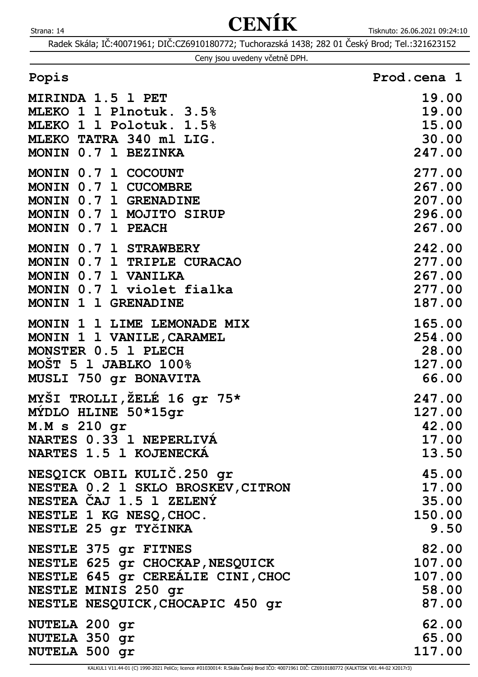Radek Skála; IČ:40071961; DIČ:CZ6910180772; Tuchorazská 1438; 282 01 Český Brod; Tel.:321623152

|  |  |  | Ceny jsou uvedeny včetně DPH. |  |  |
|--|--|--|-------------------------------|--|--|
|--|--|--|-------------------------------|--|--|

| MIRINDA 1.5 1 PET                 | 19.00  |
|-----------------------------------|--------|
| MLEKO 1 1 Plnotuk. 3.5%           | 19.00  |
| MLEKO 1 1 Polotuk. 1.5%           | 15.00  |
| MLEKO TATRA 340 ml LIG.           | 30.00  |
| MONIN 0.7 1 BEZINKA               | 247.00 |
| MONIN 0.7 1 COCOUNT               | 277.00 |
| MONIN 0.7 1 CUCOMBRE              | 267.00 |
| MONIN 0.7 1 GRENADINE             | 207.00 |
| MONIN 0.7 1 MOJITO SIRUP          | 296.00 |
| MONIN 0.7 1 PEACH                 | 267.00 |
| MONIN 0.7 1 STRAWBERY             | 242.00 |
| MONIN 0.7 1 TRIPLE CURACAO        | 277.00 |
| MONIN 0.7 1 VANILKA               | 267.00 |
| MONIN 0.7 1 violet fialka         | 277.00 |
| MONIN 1 1 GRENADINE               | 187.00 |
| MONIN 1 1 LIME LEMONADE MIX       | 165.00 |
| MONIN 1 1 VANILE, CARAMEL         | 254.00 |
| MONSTER 0.5 1 PLECH               | 28.00  |
| MOŠT 5 1 JABLKO 100%              | 127.00 |
| MUSLI 750 gr BONAVITA             | 66.00  |
| MYŠI TROLLI, ŽELÉ 16 gr 75*       | 247.00 |
| MYDLO HLINE 50*15gr               | 127.00 |
| M.M s 210 gr                      | 42.00  |
| NARTES 0.33 1 NEPERLIVÁ           | 17.00  |
| NARTES 1.5 1 KOJENECKÁ            | 13.50  |
| NESQICK OBIL KULIČ.250 gr         | 45.00  |
| NESTEA 0.2 1 SKLO BROSKEV, CITRON | 17.00  |
| NESTEA CAJ 1.5 1 ZELENÝ           | 35.00  |
| NESTLE 1 KG NESQ, CHOC.           | 150.00 |
| NESTLE 25 gr TYČINKA              | 9.50   |
| NESTLE 375 gr FITNES              | 82.00  |
| NESTLE 625 gr CHOCKAP, NESQUICK   | 107.00 |
| NESTLE 645 gr CEREALIE CINI, CHOC | 107.00 |
| NESTLE MINIS 250 gr               | 58.00  |
| NESTLE NESQUICK, CHOCAPIC 450 gr  | 87.00  |
| NUTELA 200 gr                     | 62.00  |
| NUTELA 350 gr                     | 65.00  |
| NUTELA 500 gr                     | 117.00 |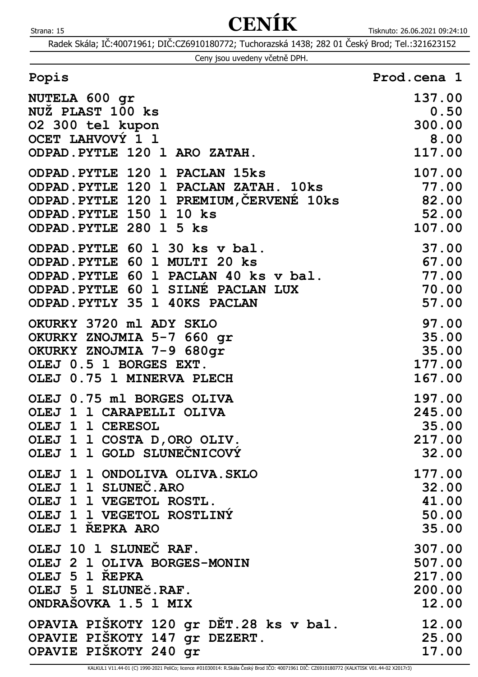|  | Ceny jsou uvedeny včetně DPH. |  |
|--|-------------------------------|--|
|  |                               |  |

| Popis                                                                                                                                                                           | Prod.cena 1                        |
|---------------------------------------------------------------------------------------------------------------------------------------------------------------------------------|------------------------------------|
| NUTELA 600 gr                                                                                                                                                                   | 137.00                             |
| NUŽ PLAST 100 ks                                                                                                                                                                | 0.50                               |
| 02 300 tel kupon                                                                                                                                                                | 300.00                             |
| OCET LAHVOVÝ 1 1                                                                                                                                                                | 8.00                               |
| ODPAD. PYTLE 120 1 ARO ZATAH.                                                                                                                                                   | 117.00                             |
| ODPAD. PYTLE 120 1 PACLAN 15ks<br>ODPAD.PYTLE 120 1 PACLAN ZATAH. 10ks<br>ODPAD. PYTLE 120 1 PREMIUM, CERVENE 10ks 82.00<br>ODPAD. PYTLE 150 1 10 ks<br>ODPAD. PYTLE 280 1 5 ks | 107.00<br>77.00<br>52.00<br>107.00 |
| ODPAD. PYTLE 60 1 30 ks v bal.                                                                                                                                                  | 37.00                              |
| ODPAD. PYTLE 60 1 MULTI 20 ks                                                                                                                                                   | 67.00                              |
| ODPAD.PYTLE 60 1 PACLAN 40 ks v bal.                                                                                                                                            | 77.00                              |
| ODPAD. PYTLE 60 1 SILNÉ PACLAN LUX                                                                                                                                              | 70.00                              |
| ODPAD. PYTLY 35 1 40KS PACLAN                                                                                                                                                   | 57.00                              |
| OKURKY 3720 ml ADY SKLO                                                                                                                                                         | 97.00                              |
| OKURKY ZNOJMIA 5-7 660 gr                                                                                                                                                       | 35.00                              |
| OKURKY ZNOJMIA 7-9 680gr                                                                                                                                                        | 35.00                              |
| OLEJ 0.5 1 BORGES EXT.                                                                                                                                                          | 177.00                             |
| OLEJ 0.75 1 MINERVA PLECH                                                                                                                                                       | 167.00                             |
| OLEJ 0.75 ml BORGES OLIVA                                                                                                                                                       | 197.00                             |
| OLEJ 1 1 CARAPELLI OLIVA                                                                                                                                                        | 245.00                             |
| OLEJ 1 1 CERESOL                                                                                                                                                                | 35.00                              |
| OLEJ 1 1 COSTA D, ORO OLIV.                                                                                                                                                     | 217.00                             |
| OLEJ 1 1 GOLD SLUNECNICOVÝ                                                                                                                                                      | 32.00                              |
| OLEJ 1 1 ONDOLIVA OLIVA. SKLO                                                                                                                                                   | 177.00                             |
| OLEJ 1 1 SLUNEČ. ARO                                                                                                                                                            | 32.00                              |
| OLEJ 1 1 VEGETOL ROSTL.                                                                                                                                                         | 41.00                              |
| OLEJ 1 1 VEGETOL ROSTLINÝ                                                                                                                                                       | 50.00                              |
| OLEJ 1 REPKA ARO                                                                                                                                                                | 35.00                              |
| OLEJ 10 1 SLUNEČ RAF.                                                                                                                                                           | 307.00                             |
| OLEJ 2 1 OLIVA BORGES-MONIN                                                                                                                                                     | 507.00                             |
| OLEJ 5 1 ŘEPKA                                                                                                                                                                  | 217.00                             |
| OLEJ 5 1 SLUNEČ.RAF.                                                                                                                                                            | 200.00                             |
| ONDRASOVKA 1.5 1 MIX                                                                                                                                                            | 12.00                              |
| OPAVIA PIŠKOTY 120 gr DĚT.28 ks v bal.                                                                                                                                          | 12.00                              |
| OPAVIE PISKOTY 147 gr DEZERT.                                                                                                                                                   | 25.00                              |
| OPAVIE PIŠKOTY 240 gr                                                                                                                                                           | 17.00                              |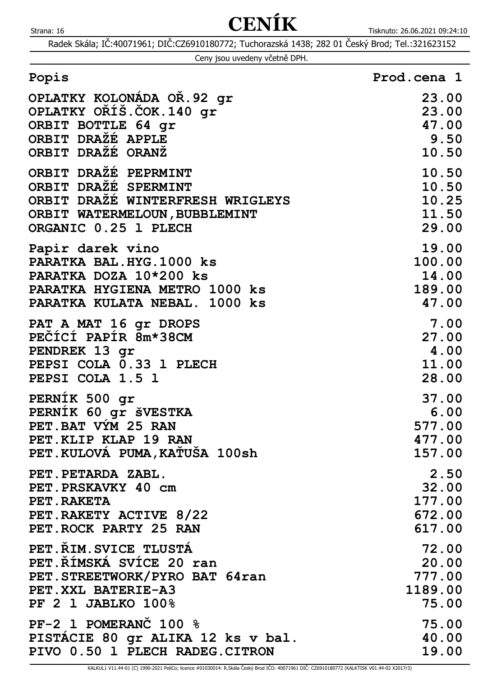|  | Ceny jsou uvedeny včetně DPH. |  |
|--|-------------------------------|--|
|  |                               |  |

| Popis                             | Prod.cena 1 |
|-----------------------------------|-------------|
| OPLATKY KOLONÁDA OŘ.92 gr         | 23.00       |
| OPLATKY ORÍŠ.ČOK.140 gr           | 23.00       |
| ORBIT BOTTLE 64 qr                | 47.00       |
| ORBIT DRAŽÉ APPLE                 | 9.50        |
| ORBIT DRAŽÉ ORANŽ                 | 10.50       |
| ORBIT DRAZÉ PEPRMINT              | 10.50       |
| ORBIT DRAŽÉ SPERMINT              | 10.50       |
| ORBIT DRAŽÉ WINTERFRESH WRIGLEYS  | 10.25       |
| ORBIT WATERMELOUN, BUBBLEMINT     | 11.50       |
| ORGANIC 0.25 1 PLECH              | 29.00       |
| Papir darek vino                  | 19.00       |
| PARATKA BAL. HYG. 1000 ks         | 100.00      |
| PARATKA DOZA 10*200 ks            | 14.00       |
| PARATKA HYGIENA METRO 1000 ks     | 189.00      |
| PARATKA KULATA NEBAL. 1000 ks     | 47.00       |
| PAT A MAT 16 gr DROPS             | 7.00        |
| PEČÍCÍ PAPÍR 8m*38CM              | 27.00       |
| PENDREK 13 gr                     | 4.00        |
| PEPSI COLA 0.33 1 PLECH           | 11.00       |
| PEPSI COLA 1.5 1                  | 28.00       |
| PERNÍK 500 gr                     | 37.00       |
| PERNÍK 60 gr šVESTKA              | 6.00        |
| PET. BAT VYM 25 RAN               | 577.00      |
| PET. KLIP KLAP 19 RAN             | 477.00      |
| PET.KULOVÁ PUMA, KATUŠA 100sh     | 157.00      |
| PET.PETARDA ZABL.                 | 2.50        |
| PET. PRSKAVKY 40 cm               | 32.00       |
| PET.RAKETA                        | 177.00      |
| PET.RAKETY ACTIVE 8/22            | 672.00      |
| PET.ROCK PARTY 25 RAN             | 617.00      |
| PET. RIM. SVICE TLUSTA            | 72.00       |
| PET.ŘÍMSKÁ SVÍCE 20 ran           | 20.00       |
| PET.STREETWORK/PYRO BAT 64ran     | 777.00      |
| PET. XXL BATERIE-A3               | 1189.00     |
| PF 2 1 JABLKO 100%                | 75.00       |
| PF-2 1 POMERANC 100 %             | 75.00       |
| PISTACIE 80 gr ALIKA 12 ks v bal. | 40.00       |
| PIVO 0.50 1 PLECH RADEG.CITRON    | 19.00       |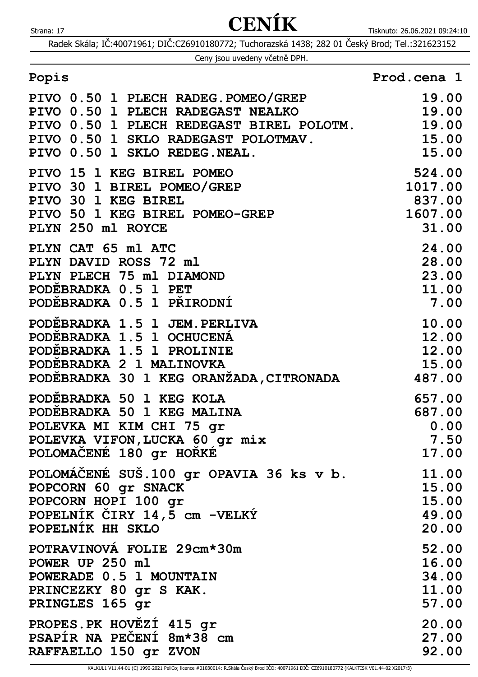Radek Skála; IČ:40071961; DIČ:CZ6910180772; Tuchorazská 1438; 282 01 Český Brod; Tel.:321623152

Ceny jsou uvedeny včetně DPH.

| PIVO 0.50 1 PLECH RADEG.POMEO/GREP 19.00<br>PIVO 0.50 1 PLECH RADEGAST NEALKO 19.00<br>PIVO 0.50 1 PLECH REDEGAST BIREL POLOTM. 19.00<br>PIVO 0.50 1 SKLO RADEGAST POLOTMAV. 15.00<br>PIVO 0.50 1 SKLO REDEG.NEAL. 15.00 |                                                |
|--------------------------------------------------------------------------------------------------------------------------------------------------------------------------------------------------------------------------|------------------------------------------------|
| PIVO 0.50 I SAMO AMENO.<br>PIVO 15 1 KEG BIREL POMEO<br>PIVO 30 1 BIREL POMEO/GREP<br>PIVO 30 1 KEG BIREL<br>PIVO 50 1 KEG BIREL POMEO-GREP<br>21 00<br>PLYN 250 ml ROYCE                                                | 31.00                                          |
| PLYN CAT 65 ml ATC<br>PLYN DAVID ROSS 72 ml<br>PLYN PLECH 75 ml DIAMOND<br>PODEBRADKA 0.5 1 PET<br>PODEBRADKA 0.5 1 PRIRODNÍ                                                                                             | $24.00$<br>$28.00$<br>$23.00$<br>11.00<br>7.00 |
| PODĚBRADKA 1.5 1 JEM.PERLIVA<br>PODEBRADKA 1.5 1 OCHUCENA<br>PODEBRADKA 1.5 1 PROLINIE<br>PODEBRADKA 2 1 MALINOVKA<br>PODĚBRADKA 30 1 KEG ORANŽADA, CITRONADA 487.00                                                     | 10.00<br>12.00<br>12.00<br>15.00               |
| PODEBRADKA 50 1 KEG KOLA                                                                                                                                                                                                 | 657.00                                         |
| PODEBRADKA 50 1 KEG MALINA                                                                                                                                                                                               | 687.00                                         |
| POLEVKA MI KIM CHI 75 gr                                                                                                                                                                                                 | 0.00                                           |
| POLEVKA VIFON, LUCKA 60 gr mix                                                                                                                                                                                           | 7.50                                           |
| POLOMAČENÉ 180 gr HOŘKÉ                                                                                                                                                                                                  | 17.00                                          |
| POLOMÁČENÉ SUŠ.100 gr OPAVIA 36 ks v b.                                                                                                                                                                                  | 11.00                                          |
| POPCORN 60 gr SNACK                                                                                                                                                                                                      | 15.00                                          |
| POPCORN HOPI 100 gr                                                                                                                                                                                                      | 15.00                                          |
| POPELNIK CIRY 14,5 cm -VELKÝ                                                                                                                                                                                             | 49.00                                          |
| POPELNIK HH SKLO                                                                                                                                                                                                         | 20.00                                          |
| POTRAVINOVA FOLIE 29cm*30m                                                                                                                                                                                               | 52.00                                          |
| POWER UP 250 ml                                                                                                                                                                                                          | 16.00                                          |
| POWERADE 0.5 1 MOUNTAIN                                                                                                                                                                                                  | 34.00                                          |
| PRINCEZKY 80 gr S KAK.                                                                                                                                                                                                   | 11.00                                          |
| PRINGLES 165 gr                                                                                                                                                                                                          | 57.00                                          |
| PROPES.PK HOVEZI 415 gr                                                                                                                                                                                                  | 20.00                                          |
| PSAPIR NA PECENI 8m*38 cm                                                                                                                                                                                                | 27.00                                          |
| RAFFAELLO 150 gr ZVON                                                                                                                                                                                                    | 92.00                                          |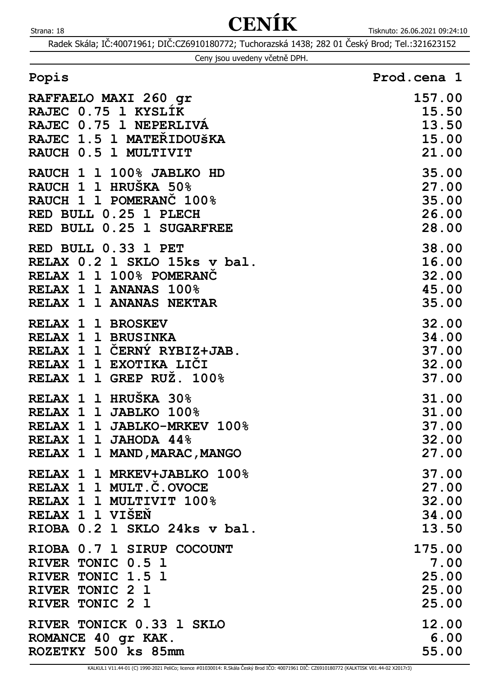| Ceny jsou uvedeny včetně DPH. |  |  |  |  |  |
|-------------------------------|--|--|--|--|--|
|-------------------------------|--|--|--|--|--|

| Popis                               | Prod.cena 1 |
|-------------------------------------|-------------|
| _ _ ____ __ _ _ _ __ _ _ _ <b>_</b> | -----       |

| RAFFAELO MAXI 260 gr         | 157.00 |
|------------------------------|--------|
| RAJEC 0.75 1 KYSLIK          | 15.50  |
| RAJEC 0.75 1 NEPERLIVA       | 13.50  |
| RAJEC 1.5 1 MATEŘIDOUŠKA     | 15.00  |
| RAUCH 0.5 1 MULTIVIT         | 21.00  |
| RAUCH 1 1 100% JABLKO HD     | 35.00  |
| RAUCH 1 1 HRUŠKA 50%         | 27.00  |
| RAUCH 1 1 POMERANC 100%      | 35.00  |
| RED BULL 0.25 1 PLECH        | 26.00  |
| RED BULL 0.25 1 SUGARFREE    | 28.00  |
| RED BULL 0.33 1 PET          | 38.00  |
| RELAX 0.2 1 SKLO 15ks v bal. | 16.00  |
| RELAX 1 1 100% POMERANC      | 32.00  |
| RELAX 1 1 ANANAS 100%        | 45.00  |
| RELAX 1 1 ANANAS NEKTAR      | 35.00  |
| RELAX 1 1 BROSKEV            | 32.00  |
| RELAX 1 1 BRUSINKA           | 34.00  |
| RELAX 1 1 ČERNÝ RYBIZ+JAB.   | 37.00  |
| RELAX 1 1 EXOTIKA LICI       | 32.00  |
| RELAX 1 1 GREP RUŽ. 100%     | 37.00  |
| RELAX 1 1 HRUŠKA 30%         | 31.00  |
| RELAX 1 1 JABLKO 100%        | 31.00  |
| RELAX 1 1 JABLKO-MRKEV 100%  | 37.00  |
| RELAX 1 1 JAHODA 44%         | 32.00  |
| RELAX 1 1 MAND, MARAC, MANGO | 27.00  |
| RELAX 1 1 MRKEV+JABLKO 100%  | 37.00  |
| RELAX 1 1 MULT.C.OVOCE       | 27.00  |
| RELAX 1 1 MULTIVIT 100%      | 32.00  |
| RELAX 1 1 VISEN              | 34.00  |
| RIOBA 0.2 1 SKLO 24ks v bal. | 13.50  |
| RIOBA 0.7 1 SIRUP COCOUNT    | 175.00 |
| RIVER TONIC 0.5 1            | 7.00   |
| RIVER TONIC 1.5 1            | 25.00  |
| RIVER TONIC 2 1              | 25.00  |
| RIVER TONIC 2 1              | 25.00  |
| RIVER TONICK 0.33 1 SKLO     | 12.00  |
| ROMANCE 40 gr KAK.           | 6.00   |
| ROZETKY 500 ks 85mm          | 55.00  |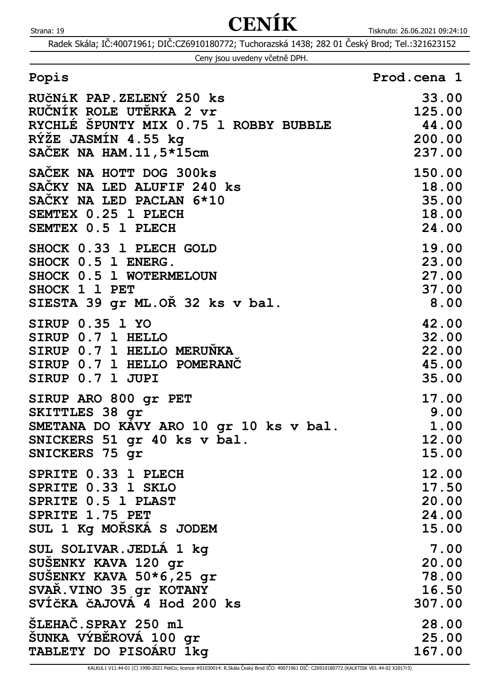Radek Skála; IČ:40071961; DIČ:CZ6910180772; Tuchorazská 1438; 282 01 Český Brod; Tel.:321623152

|  | Ceny jsou uvedeny včetně DPH. |  |
|--|-------------------------------|--|
|  |                               |  |

| RUČNÍK PAP.ZELENÝ 250 ks               | 33.00  |
|----------------------------------------|--------|
| RUČNÍK ROLE UTĚRKA 2 vr                | 125.00 |
| RYCHLE SPUNTY MIX 0.75 1 ROBBY BUBBLE  | 44.00  |
| RÝŽE JASMÍN 4.55 kg                    | 200.00 |
| SACEK NA HAM. 11, 5*15cm               | 237.00 |
| SAČEK NA HOTT DOG 300ks                | 150.00 |
| SACKY NA LED ALUFIF 240 ks             | 18.00  |
| SACKY NA LED PACLAN 6*10               | 35.00  |
| SEMTEX 0.25 1 PLECH                    | 18.00  |
| SEMTEX 0.5 1 PLECH                     | 24.00  |
| SHOCK 0.33 1 PLECH GOLD                | 19.00  |
| SHOCK 0.5 1 ENERG.                     | 23.00  |
| SHOCK 0.5 1 WOTERMELOUN                | 27.00  |
| SHOCK 1 1 PET                          | 37.00  |
| SIESTA 39 gr ML. OR 32 ks v bal.       | 8.00   |
| <b>SIRUP 0.35 1 YO</b>                 | 42.00  |
| SIRUP 0.7 1 HELLO                      | 32.00  |
| SIRUP 0.7 1 HELLO MERUNKA              | 22.00  |
| SIRUP 0.7 1 HELLO POMERANC             | 45.00  |
| SIRUP 0.7 1 JUPI                       | 35.00  |
| SIRUP ARO 800 gr PET                   | 17.00  |
| SKITTLES 38 gr                         | 9.00   |
| SMETANA DO KAVY ARO 10 gr 10 ks v bal. | 1.00   |
| SNICKERS 51 gr 40 ks v bal.            | 12.00  |
| SNICKERS 75 gr                         | 15.00  |
| SPRITE 0.33 1 PLECH                    | 12.00  |
| SPRITE 0.33 1 SKLO                     | 17.50  |
| SPRITE 0.5 1 PLAST                     | 20.00  |
| SPRITE 1.75 PET                        | 24.00  |
| SUL 1 Kg MORSKA S JODEM                | 15.00  |
| SUL SOLIVAR. JEDLA 1 kg                | 7.00   |
| SUSENKY KAVA 120 gr                    | 20.00  |
| SUSENKY KAVA 50*6,25 gr                | 78.00  |
| SVAR. VINO 35 gr KOTANY                | 16.50  |
| SVÍČKA ČAJOVÁ 4 Hod 200 ks             | 307.00 |
| SLEHAC.SPRAY 250 ml                    | 28.00  |
| SUNKA VÝBĚROVÁ 100 gr                  | 25.00  |
| TABLETY DO PISOARU 1kg                 | 167.00 |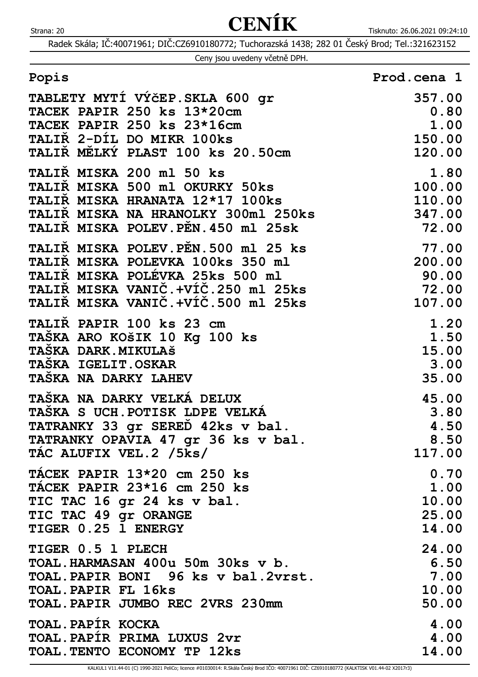Radek Skála; IČ:40071961; DIČ:CZ6910180772; Tuchorazská 1438; 282 01 Český Brod; Tel.:321623152

|  | Ceny jsou uvedeny včetně DPH. |  |
|--|-------------------------------|--|
|  |                               |  |

| Popis                                                                                                                                                                                              | Prod.cena 1    |
|----------------------------------------------------------------------------------------------------------------------------------------------------------------------------------------------------|----------------|
| TABLETY MYTÍ VÝČEP. SKLA 600 gr                                                                                                                                                                    | 357.00         |
| TACEK PAPIR 250 ks 13*20cm                                                                                                                                                                         | 0.80           |
| TACEK PAPIR 250 ks 23*16cm                                                                                                                                                                         | 1.00           |
| TALIŘ 2-DÍL DO MIKR 100ks                                                                                                                                                                          | 150.00         |
| TALIŘ MĚLKÝ PLAST 100 ks 20.50cm                                                                                                                                                                   | 120.00         |
| TALIR MISKA 200 ml 50 ks                                                                                                                                                                           | 1.80           |
| TALIR MISKA 500 ml OKURKY 50ks                                                                                                                                                                     | 100.00         |
| TALIR MISKA HRANATA 12*17 100ks                                                                                                                                                                    | 110.00         |
| TALIŘ MISKA NA HRANOLKY 300ml 250ks                                                                                                                                                                | 347.00         |
| TALIŘ MISKA POLEV.PĚN.450 ml 25sk                                                                                                                                                                  | 72.00          |
| TALIŘ MISKA POLEVKA 100KS 330 MI<br>TALIŘ MISKA POLÉVKA 25ks 500 ml<br>TALIŘ MISKA VANIČ.+VÍČ.250 ml 25ks 72.00<br>TALIŘ MISKA VANIČ.+VÍČ.500 ml 25ks 107.00<br>TALIŘ MISKA VANIČ.+VÍČ.500 ml 25ks | 107.00         |
| TALIR PAPIR 100 ks 23 cm                                                                                                                                                                           | 1.20           |
| TASKA ARO KOŠIK 10 Kg 100 ks                                                                                                                                                                       | 1.50           |
| TAŠKA DARK. MIKULAŠ                                                                                                                                                                                | 15.00          |
| TASKA IGELIT.OSKAR                                                                                                                                                                                 | 3.00           |
| TAŠKA NA DARKY LAHEV                                                                                                                                                                               | 35.00          |
| TASKA NA DARKY VELKÁ DELUX                                                                                                                                                                         | 45.00          |
| TASKA S UCH. POTISK LDPE VELKA                                                                                                                                                                     | 3.80           |
| TATRANKY 33 gr SEREĎ 42ks v bal.                                                                                                                                                                   | 4.50           |
| TATRANKY OPAVIA 47 gr 36 ks v bal.                                                                                                                                                                 | 8.50           |
| TAC ALUFIX VEL.2 /5ks/                                                                                                                                                                             | 117.00         |
| TÁCEK PAPIR 13*20 cm 250 ks                                                                                                                                                                        | 0.70           |
| TACEK PAPIR 23*16 cm 250 ks                                                                                                                                                                        | $\mathbf 1.00$ |
| TIC TAC 16 gr 24 ks v bal.                                                                                                                                                                         | 10.00          |
| TIC TAC 49 gr ORANGE                                                                                                                                                                               | 25.00          |
| TIGER 0.25 1 ENERGY                                                                                                                                                                                | 14.00          |
| TIGER 0.5 1 PLECH                                                                                                                                                                                  | 24.00          |
| TOAL. HARMASAN 400u 50m 30ks v b.                                                                                                                                                                  | 6.50           |
| TOAL. PAPIR BONI 96 ks v bal. 2vrst.                                                                                                                                                               | 7.00           |
| <b>TOAL. PAPIR FL 16ks</b>                                                                                                                                                                         | 10.00          |
| TOAL. PAPIR JUMBO REC 2VRS 230mm                                                                                                                                                                   | 50.00          |
| TOAL. PAPÍR KOCKA                                                                                                                                                                                  | 4.00           |
| TOAL. PAPIR PRIMA LUXUS 2vr                                                                                                                                                                        | 4.00           |

**TOAL.TENTO ECONOMY TP 12ks 14.00**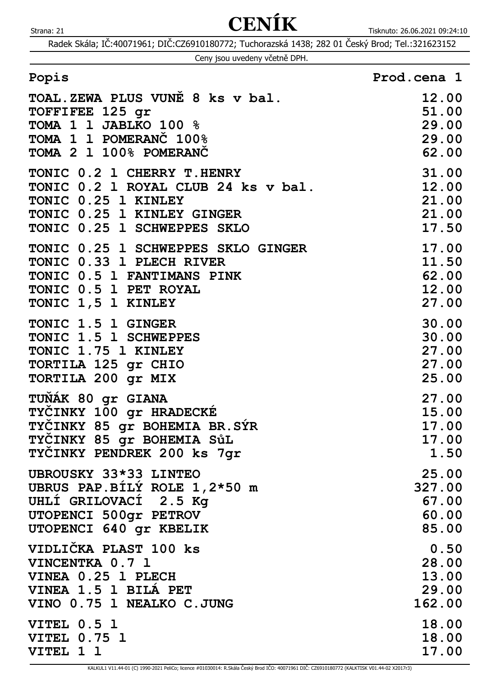|  |  |  | Ceny jsou uvedeny včetně DPH. |  |  |
|--|--|--|-------------------------------|--|--|
|--|--|--|-------------------------------|--|--|

| Popis                               | Prod.cena 1 |
|-------------------------------------|-------------|
| TOAL. ZEWA PLUS VUNĚ 8 ks v bal.    | 12.00       |
| TOFFIFEE 125 gr                     | 51.00       |
| TOMA 1 1 JABLKO 100 %               | 29.00       |
| TOMA 1 1 POMERANC 100%              | 29.00       |
| TOMA 2 1 100% POMERANC              | 62.00       |
| TONIC 0.2 1 CHERRY T. HENRY         | 31.00       |
| TONIC 0.2 1 ROYAL CLUB 24 ks v bal. | 12.00       |
| TONIC 0.25 1 KINLEY                 | 21.00       |
| TONIC 0.25 1 KINLEY GINGER          | 21.00       |
| TONIC 0.25 1 SCHWEPPES SKLO         | 17.50       |
| TONIC 0.25 1 SCHWEPPES SKLO GINGER  | 17.00       |
| TONIC 0.33 1 PLECH RIVER            | 11.50       |
| TONIC 0.5 1 FANTIMANS PINK          | 62.00       |
| TONIC 0.5 1 PET ROYAL               | 12.00       |
| TONIC 1,5 1 KINLEY                  | 27.00       |
| TONIC 1.5 1 GINGER                  | 30.00       |
| TONIC 1.5 1 SCHWEPPES               | 30.00       |
| TONIC 1.75 1 KINLEY                 | 27.00       |
| TORTILA 125 gr CHIO                 | 27.00       |
| TORTILA 200 gr MIX                  | 25.00       |
| TUŇÁK 80 gr GIANA                   | 27.00       |
| TYCINKY 100 gr HRADECKE             | 15.00       |
| TYCINKY 85 gr BOHEMIA BR.SYR        | 17.00       |
| TYCINKY 85 gr BOHEMIA SůL           | 17.00       |
| TYCINKY PENDREK 200 ks 7gr          | 1.50        |
| UBROUSKY 33*33 LINTEO               | 25.00       |
| UBRUS PAP. BILY ROLE 1,2*50 m       | 327.00      |
| UHLI GRILOVACI 2.5 Kq               | 67.00       |
| UTOPENCI 500gr PETROV               | 60.00       |
| UTOPENCI 640 gr KBELIK              | 85.00       |
| VIDLIČKA PLAST 100 ks               | 0.50        |
| VINCENTKA 0.7 1                     | 28.00       |
| VINEA 0.25 1 PLECH                  | 13.00       |
| VINEA 1.5 1 BILA PET                | 29.00       |
| VINO 0.75 1 NEALKO C.JUNG           | 162.00      |
| <b>VITEL 0.5 1</b>                  | 18.00       |
| <b>VITEL 0.75 1</b>                 | 18.00       |
| VITEL 1 1                           | 17.00       |